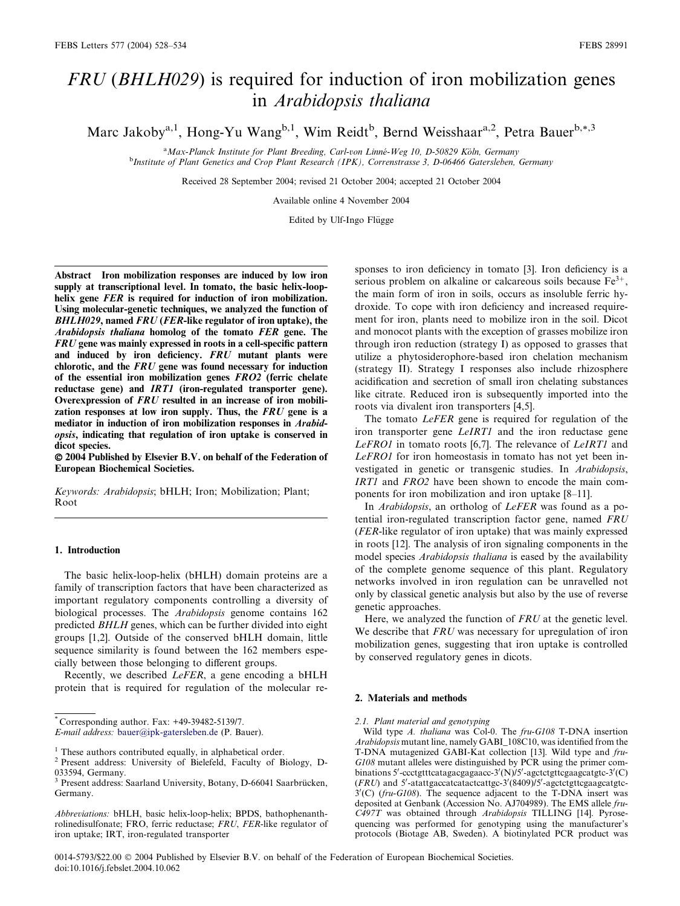# FRU (BHLH029) is required for induction of iron mobilization genes in Arabidopsis thaliana

Marc Jakoby<sup>a,1</sup>, Hong-Yu Wang<sup>b,1</sup>, Wim Reidt<sup>b</sup>, Bernd Weisshaar<sup>a,2</sup>, Petra Bauer<sup>b,\*,3</sup>

<sup>a</sup>Max-Planck Institute for Plant Breeding, Carl-von Linné-Weg 10, D-50829 Köln, Germany <sup>a</sup> Max-Planck Institute for Plant Breeding, Carl-von Linné-Weg 10, D-50829 Köln, Germany<br><sup>b</sup>Institute of Plant Genetics and Crop Plant Research (IPK), Correnstrasse 3, D-06466 Gatersleben, Germany

Received 28 September 2004; revised 21 October 2004; accepted 21 October 2004

Available online 4 November 2004

Edited by Ulf-Ingo Flügge

Abstract Iron mobilization responses are induced by low iron supply at transcriptional level. In tomato, the basic helix-loophelix gene *FER* is required for induction of iron mobilization. Using molecular-genetic techniques, we analyzed the function of BHLH029, named FRU (FER-like regulator of iron uptake), the Arabidopsis thaliana homolog of the tomato FER gene. The FRU gene was mainly expressed in roots in a cell-specific pattern and induced by iron deficiency. FRU mutant plants were chlorotic, and the FRU gene was found necessary for induction of the essential iron mobilization genes FRO2 (ferric chelate reductase gene) and IRT1 (iron-regulated transporter gene). Overexpression of FRU resulted in an increase of iron mobilization responses at low iron supply. Thus, the FRU gene is a mediator in induction of iron mobilization responses in Arabidopsis, indicating that regulation of iron uptake is conserved in dicot species.

 2004 Published by Elsevier B.V. on behalf of the Federation of European Biochemical Societies.

Keywords: Arabidopsis; bHLH; Iron; Mobilization; Plant; Root

#### 1. Introduction

The basic helix-loop-helix (bHLH) domain proteins are a family of transcription factors that have been characterized as important regulatory components controlling a diversity of biological processes. The Arabidopsis genome contains 162 predicted BHLH genes, which can be further divided into eight groups [1,2]. Outside of the conserved bHLH domain, little sequence similarity is found between the 162 members especially between those belonging to different groups.

Recently, we described LeFER, a gene encoding a bHLH protein that is required for regulation of the molecular re-

\* Corresponding author. Fax: +49-39482-5139/7.

E-mail address: [bauer@ipk-gatersleben.de](mail to: bauer@ipk-gatersleben.de) (P. Bauer).

sponses to iron deficiency in tomato [3]. Iron deficiency is a serious problem on alkaline or calcareous soils because  $Fe^{3+}$ , the main form of iron in soils, occurs as insoluble ferric hydroxide. To cope with iron deficiency and increased requirement for iron, plants need to mobilize iron in the soil. Dicot and monocot plants with the exception of grasses mobilize iron through iron reduction (strategy I) as opposed to grasses that utilize a phytosiderophore-based iron chelation mechanism (strategy II). Strategy I responses also include rhizosphere acidification and secretion of small iron chelating substances like citrate. Reduced iron is subsequently imported into the roots via divalent iron transporters [4,5].

The tomato *LeFER* gene is required for regulation of the iron transporter gene LeIRT1 and the iron reductase gene LeFRO1 in tomato roots [6,7]. The relevance of LeIRT1 and LeFRO1 for iron homeostasis in tomato has not yet been investigated in genetic or transgenic studies. In Arabidopsis, IRT1 and FRO2 have been shown to encode the main components for iron mobilization and iron uptake [8–11].

In Arabidopsis, an ortholog of LeFER was found as a potential iron-regulated transcription factor gene, named FRU (FER-like regulator of iron uptake) that was mainly expressed in roots [12]. The analysis of iron signaling components in the model species Arabidopsis thaliana is eased by the availability of the complete genome sequence of this plant. Regulatory networks involved in iron regulation can be unravelled not only by classical genetic analysis but also by the use of reverse genetic approaches.

Here, we analyzed the function of FRU at the genetic level. We describe that FRU was necessary for upregulation of iron mobilization genes, suggesting that iron uptake is controlled by conserved regulatory genes in dicots.

## 2. Materials and methods

2.1. Plant material and genotyping

Wild type A. thaliana was Col-0. The fru-G108 T-DNA insertion Arabidopsis mutant line, namely GABI\_108C10, was identified from the T-DNA mutagenized GABI-Kat collection [13]. Wild type and fru-G108 mutant alleles were distinguished by PCR using the primer combinations 5'-ccctgtttcatagacgagaacc-3'(N)/5'-agctctgttcgaagcatgtc-3'(C) (FRU) and 5'-atattgaccatcatactcattgc-3'(8409)/5'-agctctgttcgaagcatgtc- $3'(C)$  (fru-G108). The sequence adjacent to the T-DNA insert was deposited at Genbank (Accession No. AJ704989). The EMS allele fru-C497T was obtained through Arabidopsis TILLING [14]. Pyrosequencing was performed for genotyping using the manufacturer's protocols (Biotage AB, Sweden). A biotinylated PCR product was

0014-5793/\$22.00  $\odot$  2004 Published by Elsevier B.V. on behalf of the Federation of European Biochemical Societies. doi:10.1016/j.febslet.2004.10.062

<sup>1</sup> These authors contributed equally, in alphabetical order. <sup>2</sup> Present address: University of Bielefeld, Faculty of Biology, D-033594, Germany.

<sup>&</sup>lt;sup>3</sup> Present address: Saarland University, Botany, D-66041 Saarbrücken, Germany.

Abbreviations: bHLH, basic helix-loop-helix; BPDS, bathophenanthrolinedisulfonate; FRO, ferric reductase; FRU, FER-like regulator of iron uptake; IRT, iron-regulated transporter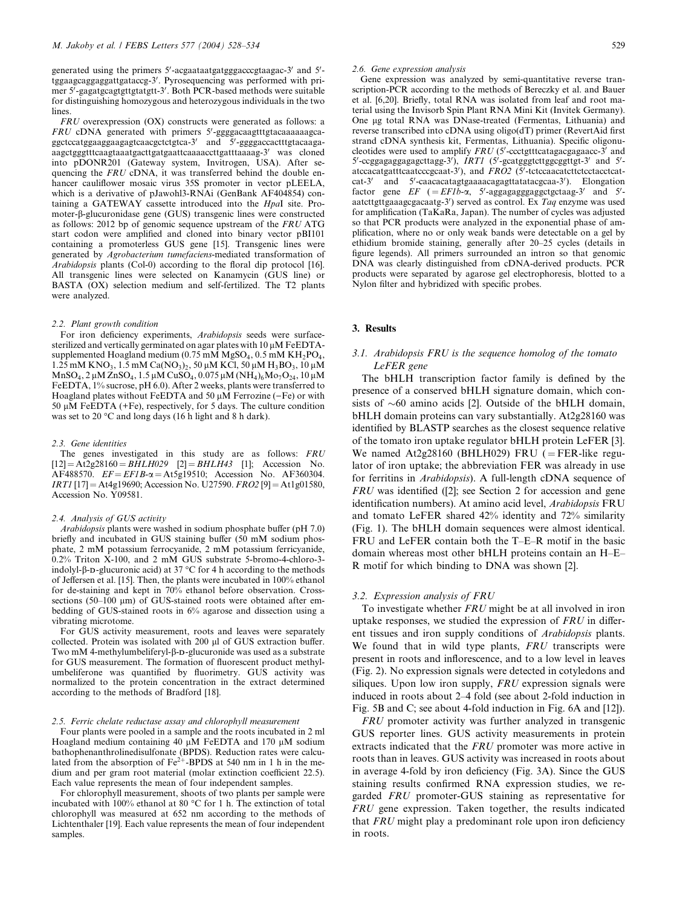generated using the primers 5'-acgaataatgatgggacccgtaagac-3' and 5'tggaagcaggaggattgataccg-3'. Pyrosequencing was performed with primer 5'-gagatgcagtgttgtatgtt-3'. Both PCR-based methods were suitable for distinguishing homozygous and heterozygous individuals in the two lines.

FRU overexpression (OX) constructs were generated as follows: a  $FRU$  cDNA generated with primers 5'-ggggacaagtttgtacaaaaaagcaggctccatggaaggaagagtcaacgctctgtca-3' and 5'-ggggaccactttgtacaagaaagctgggtttcaagtaaatgacttgatgaattcaaaaccttgatttaaaag-3<sup>0</sup> was cloned into pDONR201 (Gateway system, Invitrogen, USA). After sequencing the FRU cDNA, it was transferred behind the double enhancer cauliflower mosaic virus 35S promoter in vector pLEELA, which is a derivative of pJawohl3-RNAi (GenBank AF404854) containing a GATEWAY cassette introduced into the HpaI site. Promoter-b-glucuronidase gene (GUS) transgenic lines were constructed as follows: 2012 bp of genomic sequence upstream of the FRU ATG start codon were amplified and cloned into binary vector pBI101 containing a promoterless GUS gene [15]. Transgenic lines were generated by Agrobacterium tumefaciens-mediated transformation of Arabidopsis plants (Col-0) according to the floral dip protocol [16]. All transgenic lines were selected on Kanamycin (GUS line) or BASTA (OX) selection medium and self-fertilized. The T2 plants were analyzed.

## 2.2. Plant growth condition

For iron deficiency experiments, Arabidopsis seeds were surfacesterilized and vertically germinated on agar plates with 10 µM FeEDTAsupplemented Hoagland medium  $(0.75 \text{ mM MgSO}_4, 0.5 \text{ mM KH}_2\text{PO}_4,$  $1.25$  mM KNO<sub>3</sub>,  $1.5$  mM Ca(NO<sub>3</sub>)<sub>2</sub>,  $50 \mu$ M KCl,  $50 \mu$ M H<sub>3</sub>BO<sub>3</sub>,  $10 \mu$ M  $MnSO_4$ , 2 µM  $ZnSO_4$ , 1.5 µM  $CuSO_4$ , 0.075 µM  $(NH_4)_6Mo_7O_{24}$ , 10 µM FeEDTA, 1% sucrose, pH 6.0). After 2 weeks, plants were transferred to Hoagland plates without  $FeEDTA$  and 50  $\mu$ M Ferrozine ( $-Fe$ ) or with 50  $\mu$ M FeEDTA (+Fe), respectively, for 5 days. The culture condition was set to 20  $\mathrm{^{\circ}C}$  and long days (16 h light and 8 h dark).

#### 2.3. Gene identities

The genes investigated in this study are as follows: FRU  $[12] = At2g28160 = BHLH029$   $[2] = BHLH43$   $[1]$ ; Accession No.  $AF488570.$   $EF = EFIB-\alpha = At5g19510$ ; Accession No. AF360304.  $IRTI$  [17] = At4g19690; Accession No. U27590.  $FRO2$  [9] = At1g01580, Accession No. Y09581.

#### 2.4. Analysis of GUS activity

Arabidopsis plants were washed in sodium phosphate buffer (pH 7.0) briefly and incubated in GUS staining buffer (50 mM sodium phosphate, 2 mM potassium ferrocyanide, 2 mM potassium ferricyanide,  $0.2\%$  Triton X-100, and 2 mM GUS substrate 5-bromo-4-chloro-3indolyl- $\beta$ -D-glucuronic acid) at 37 °C for 4 h according to the methods of Jeffersen et al. [15]. Then, the plants were incubated in 100% ethanol for de-staining and kept in 70% ethanol before observation. Crosssections (50–100  $\mu$ m) of GUS-stained roots were obtained after embedding of GUS-stained roots in 6% agarose and dissection using a vibrating microtome.

For GUS activity measurement, roots and leaves were separately collected. Protein was isolated with 200 µl of GUS extraction buffer. Two mM 4-methylumbeliferyl-B-p-glucuronide was used as a substrate for GUS measurement. The formation of fluorescent product methylumbeliferone was quantified by fluorimetry. GUS activity was normalized to the protein concentration in the extract determined according to the methods of Bradford [18].

#### 2.5. Ferric chelate reductase assay and chlorophyll measurement

Four plants were pooled in a sample and the roots incubated in 2 ml Hoagland medium containing 40  $\mu$ M FeEDTA and 170  $\mu$ M sodium bathophenanthrolinedisulfonate (BPDS). Reduction rates were calculated from the absorption of  $Fe^{2+}$ -BPDS at 540 nm in 1 h in the medium and per gram root material (molar extinction coefficient 22.5). Each value represents the mean of four independent samples.

For chlorophyll measurement, shoots of two plants per sample were incubated with 100% ethanol at 80  $\degree$ C for 1 h. The extinction of total chlorophyll was measured at 652 nm according to the methods of Lichtenthaler [19]. Each value represents the mean of four independent samples.

#### 2.6. Gene expression analysis

Gene expression was analyzed by semi-quantitative reverse transcription-PCR according to the methods of Bereczky et al. and Bauer et al. [6,20]. Briefly, total RNA was isolated from leaf and root material using the Invisorb Spin Plant RNA Mini Kit (Invitek Germany). One lg total RNA was DNase-treated (Fermentas, Lithuania) and reverse transcribed into cDNA using oligo(dT) primer (RevertAid first strand cDNA synthesis kit, Fermentas, Lithuania). Specific oligonucleotides were used to amplify  $FRU$  (5'-ccctgtttcatagacgagaacc-3' and 5'-ccggagaggagagcttagg-3'), IRT1 (5'-gcatgggtcttggcggttgt-3' and 5'atccacatgatttcaatcccgcaat-3'), and FRO2 (5'-tctccaacatcttctcctacctcatcat-3' and 5'-caacacatagtgaaaacagagttatatacgcaa-3'). Elongation factor gene  $EF$  (=  $EF1b$ - $\alpha$ , 5'-aggagagggaggctgctaag-3' and 5'aatcttgttgaaagcgacaatg-3') served as control. Ex Taq enzyme was used for amplification (TaKaRa, Japan). The number of cycles was adjusted so that PCR products were analyzed in the exponential phase of amplification, where no or only weak bands were detectable on a gel by ethidium bromide staining, generally after 20–25 cycles (details in figure legends). All primers surrounded an intron so that genomic DNA was clearly distinguished from cDNA-derived products. PCR products were separated by agarose gel electrophoresis, blotted to a Nylon filter and hybridized with specific probes.

#### 3. Results

# 3.1. Arabidopsis FRU is the sequence homolog of the tomato LeFER gene

The bHLH transcription factor family is defined by the presence of a conserved bHLH signature domain, which consists of  $\sim 60$  amino acids [2]. Outside of the bHLH domain, bHLH domain proteins can vary substantially. At2g28160 was identified by BLASTP searches as the closest sequence relative of the tomato iron uptake regulator bHLH protein LeFER [3]. We named  $At2g28160$  (BHLH029) FRU (=FER-like regulator of iron uptake; the abbreviation FER was already in use for ferritins in Arabidopsis). A full-length cDNA sequence of FRU was identified ([2]; see Section 2 for accession and gene identification numbers). At amino acid level, Arabidopsis FRU and tomato LeFER shared 42% identity and 72% similarity (Fig. 1). The bHLH domain sequences were almost identical. FRU and LeFER contain both the T–E–R motif in the basic domain whereas most other bHLH proteins contain an H–E– R motif for which binding to DNA was shown [2].

## 3.2. Expression analysis of FRU

To investigate whether FRU might be at all involved in iron uptake responses, we studied the expression of FRU in different tissues and iron supply conditions of Arabidopsis plants. We found that in wild type plants, FRU transcripts were present in roots and inflorescence, and to a low level in leaves (Fig. 2). No expression signals were detected in cotyledons and siliques. Upon low iron supply, FRU expression signals were induced in roots about 2–4 fold (see about 2-fold induction in Fig. 5B and C; see about 4-fold induction in Fig. 6A and [12]).

FRU promoter activity was further analyzed in transgenic GUS reporter lines. GUS activity measurements in protein extracts indicated that the FRU promoter was more active in roots than in leaves. GUS activity was increased in roots about in average 4-fold by iron deficiency (Fig. 3A). Since the GUS staining results confirmed RNA expression studies, we regarded FRU promoter-GUS staining as representative for FRU gene expression. Taken together, the results indicated that FRU might play a predominant role upon iron deficiency in roots.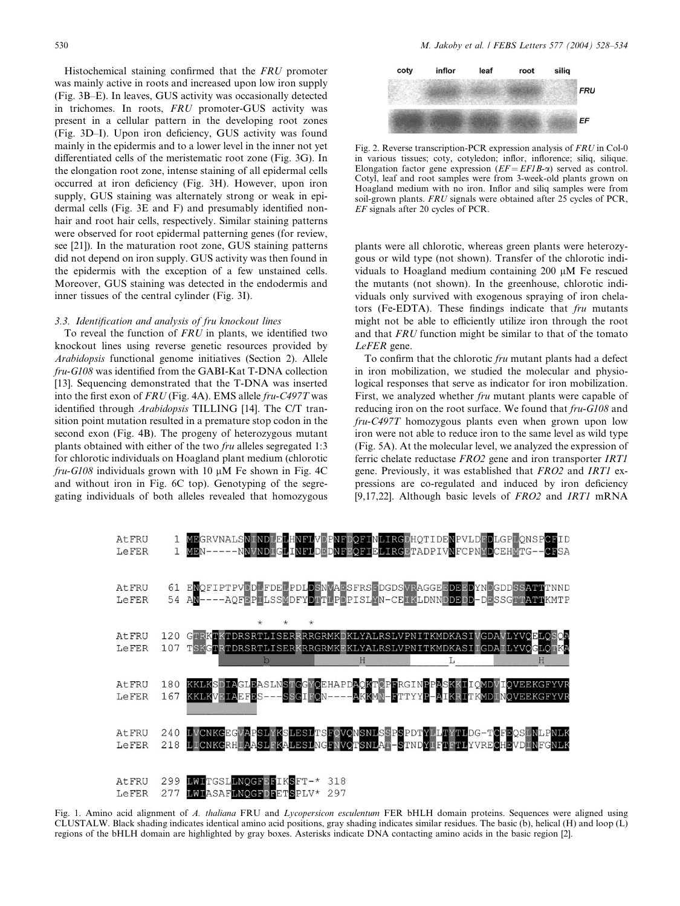Histochemical staining confirmed that the FRU promoter was mainly active in roots and increased upon low iron supply (Fig. 3B–E). In leaves, GUS activity was occasionally detected in trichomes. In roots, FRU promoter-GUS activity was present in a cellular pattern in the developing root zones (Fig. 3D–I). Upon iron deficiency, GUS activity was found mainly in the epidermis and to a lower level in the inner not yet differentiated cells of the meristematic root zone (Fig. 3G). In the elongation root zone, intense staining of all epidermal cells occurred at iron deficiency (Fig. 3H). However, upon iron supply, GUS staining was alternately strong or weak in epidermal cells (Fig. 3E and F) and presumably identified nonhair and root hair cells, respectively. Similar staining patterns were observed for root epidermal patterning genes (for review, see [21]). In the maturation root zone, GUS staining patterns did not depend on iron supply. GUS activity was then found in the epidermis with the exception of a few unstained cells. Moreover, GUS staining was detected in the endodermis and inner tissues of the central cylinder (Fig. 3I).

## 3.3. Identification and analysis of fru knockout lines

To reveal the function of FRU in plants, we identified two knockout lines using reverse genetic resources provided by Arabidopsis functional genome initiatives (Section 2). Allele fru-G108 was identified from the GABI-Kat T-DNA collection [13]. Sequencing demonstrated that the T-DNA was inserted into the first exon of FRU (Fig. 4A). EMS allele fru-C497T was identified through Arabidopsis TILLING [14]. The C/T transition point mutation resulted in a premature stop codon in the second exon (Fig. 4B). The progeny of heterozygous mutant plants obtained with either of the two fru alleles segregated 1:3 for chlorotic individuals on Hoagland plant medium (chlorotic  $fru$ -G108 individuals grown with 10  $\mu$ M Fe shown in Fig. 4C and without iron in Fig. 6C top). Genotyping of the segregating individuals of both alleles revealed that homozygous



Fig. 2. Reverse transcription-PCR expression analysis of FRU in Col-0 in various tissues; coty, cotyledon; inflor, inflorence; siliq, silique. Elongation factor gene expression  $(EF = EFIB-\alpha)$  served as control. Cotyl, leaf and root samples were from 3-week-old plants grown on Hoagland medium with no iron. Inflor and siliq samples were from soil-grown plants. FRU signals were obtained after 25 cycles of PCR, EF signals after 20 cycles of PCR.

plants were all chlorotic, whereas green plants were heterozygous or wild type (not shown). Transfer of the chlorotic individuals to Hoagland medium containing  $200 \mu M$  Fe rescued the mutants (not shown). In the greenhouse, chlorotic individuals only survived with exogenous spraying of iron chelators (Fe-EDTA). These findings indicate that fru mutants might not be able to efficiently utilize iron through the root and that FRU function might be similar to that of the tomato LeFER gene.

To confirm that the chlorotic fru mutant plants had a defect in iron mobilization, we studied the molecular and physiological responses that serve as indicator for iron mobilization. First, we analyzed whether fru mutant plants were capable of reducing iron on the root surface. We found that  $fru$ -G108 and fru-C497T homozygous plants even when grown upon low iron were not able to reduce iron to the same level as wild type (Fig. 5A). At the molecular level, we analyzed the expression of ferric chelate reductase FRO2 gene and iron transporter IRT1 gene. Previously, it was established that FRO2 and IRT1 expressions are co-regulated and induced by iron deficiency [9,17,22]. Although basic levels of FRO2 and IRT1 mRNA



Fig. 1. Amino acid alignment of A. thaliana FRU and Lycopersicon esculentum FER bHLH domain proteins. Sequences were aligned using CLUSTALW. Black shading indicates identical amino acid positions, gray shading indicates similar residues. The basic (b), helical (H) and loop (L) regions of the bHLH domain are highlighted by gray boxes. Asterisks indicate DNA contacting amino acids in the basic region [2].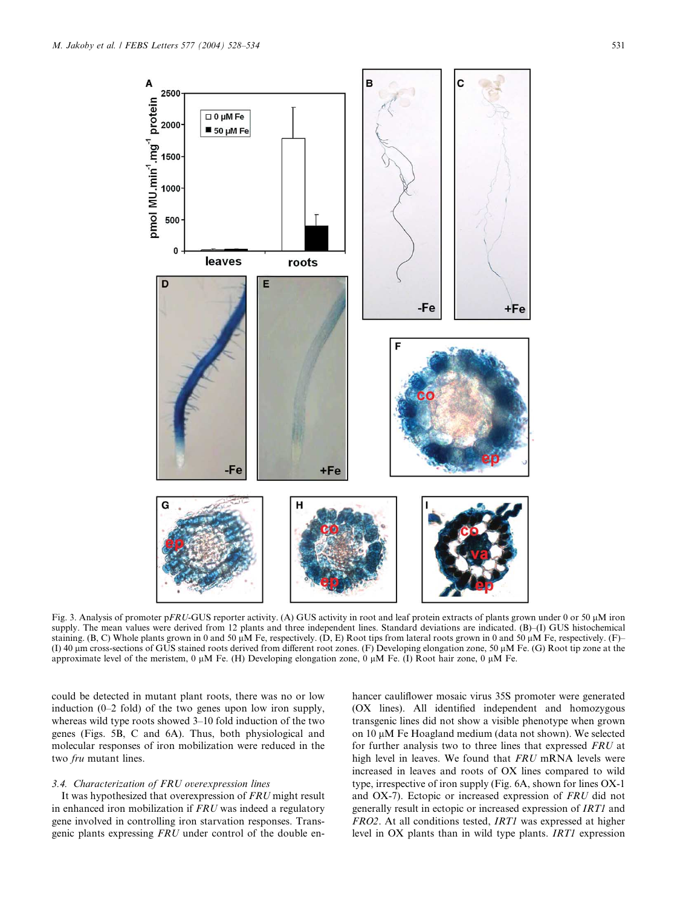

Fig. 3. Analysis of promoter pFRU-GUS reporter activity. (A) GUS activity in root and leaf protein extracts of plants grown under 0 or 50  $\mu$ M iron supply. The mean values were derived from 12 plants and three independent lines. Standard deviations are indicated. (B)–(I) GUS histochemical staining. (B, C) Whole plants grown in 0 and 50  $\mu$ M Fe, respectively. (D, E) Root tips from lateral roots grown in 0 and 50  $\mu$ M Fe, respectively. (F)– (I) 40 lm cross-sections of GUS stained roots derived from different root zones. (F) Developing elongation zone, 50 lM Fe. (G) Root tip zone at the approximate level of the meristem, 0  $\mu$ M Fe. (H) Developing elongation zone, 0  $\mu$ M Fe. (I) Root hair zone, 0  $\mu$ M Fe.

could be detected in mutant plant roots, there was no or low induction (0–2 fold) of the two genes upon low iron supply, whereas wild type roots showed 3–10 fold induction of the two genes (Figs. 5B, C and 6A). Thus, both physiological and molecular responses of iron mobilization were reduced in the two fru mutant lines.

#### 3.4. Characterization of FRU overexpression lines

It was hypothesized that overexpression of FRU might result in enhanced iron mobilization if FRU was indeed a regulatory gene involved in controlling iron starvation responses. Transgenic plants expressing FRU under control of the double enhancer cauliflower mosaic virus 35S promoter were generated (OX lines). All identified independent and homozygous transgenic lines did not show a visible phenotype when grown on  $10 \mu$ M Fe Hoagland medium (data not shown). We selected for further analysis two to three lines that expressed FRU at high level in leaves. We found that FRU mRNA levels were increased in leaves and roots of OX lines compared to wild type, irrespective of iron supply (Fig. 6A, shown for lines OX-1 and OX-7). Ectopic or increased expression of FRU did not generally result in ectopic or increased expression of IRT1 and FRO2. At all conditions tested, IRT1 was expressed at higher level in OX plants than in wild type plants. IRT1 expression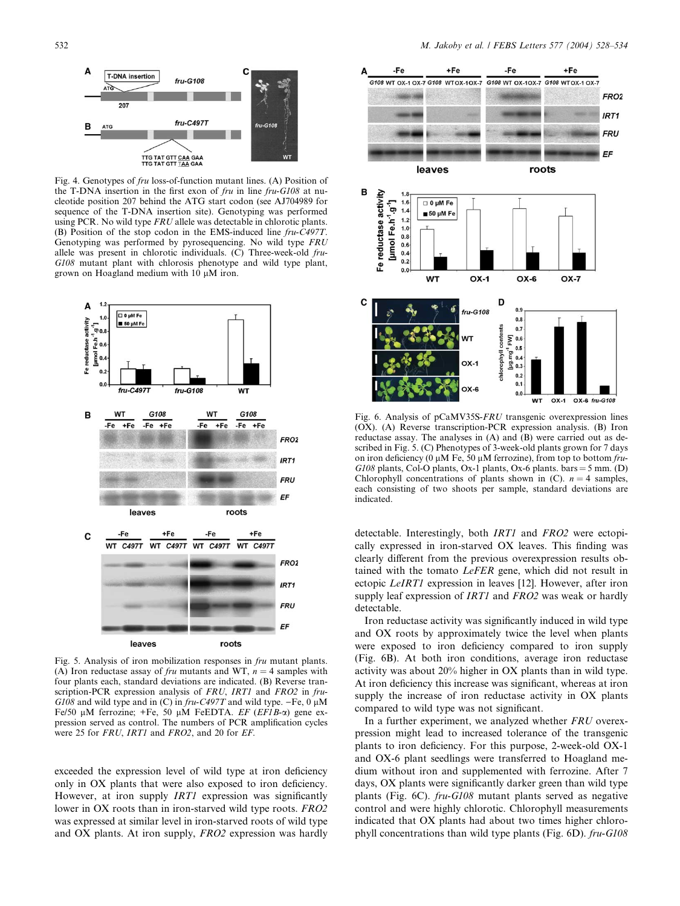$\Delta$  $\mathbf{C}$ T-DNA insertion  $fru-G108$  $\sqrt{14}$  $207$ fru-C4977 B  $fru$ -G108 **ATG** TTG TAT GTT CAA GAA

Fig. 4. Genotypes of fru loss-of-function mutant lines. (A) Position of the T-DNA insertion in the first exon of fru in line fru-G108 at nucleotide position 207 behind the ATG start codon (see AJ704989 for sequence of the T-DNA insertion site). Genotyping was performed using PCR. No wild type FRU allele was detectable in chlorotic plants. (B) Position of the stop codon in the EMS-induced line fru-C497T. Genotyping was performed by pyrosequencing. No wild type FRU allele was present in chlorotic individuals. (C) Three-week-old fru-G108 mutant plant with chlorosis phenotype and wild type plant, grown on Hoagland medium with  $10 \mu M$  iron.



Fig. 5. Analysis of iron mobilization responses in fru mutant plants. (A) Iron reductase assay of *fru* mutants and WT,  $n = 4$  samples with four plants each, standard deviations are indicated. (B) Reverse transcription-PCR expression analysis of FRU, IRT1 and FRO2 in fru-G108 and wild type and in (C) in  $fru$ -C497T and wild type. -Fe, 0  $\mu$ M Fe/50  $\mu$ M ferrozine; +Fe, 50  $\mu$ M FeEDTA. EF (EF1B- $\alpha$ ) gene expression served as control. The numbers of PCR amplification cycles were 25 for FRU, IRT1 and FRO2, and 20 for EF.

exceeded the expression level of wild type at iron deficiency only in OX plants that were also exposed to iron deficiency. However, at iron supply *IRT1* expression was significantly lower in OX roots than in iron-starved wild type roots. FRO2 was expressed at similar level in iron-starved roots of wild type and OX plants. At iron supply, FRO2 expression was hardly



Fig. 6. Analysis of pCaMV35S-FRU transgenic overexpression lines (OX). (A) Reverse transcription-PCR expression analysis. (B) Iron reductase assay. The analyses in (A) and (B) were carried out as described in Fig. 5. (C) Phenotypes of 3-week-old plants grown for 7 days on iron deficiency (0  $\mu$ M Fe, 50  $\mu$ M ferrozine), from top to bottom fru- $G108$  plants, Col-O plants, Ox-1 plants, Ox-6 plants. bars = 5 mm. (D) Chlorophyll concentrations of plants shown in (C).  $n = 4$  samples, each consisting of two shoots per sample, standard deviations are indicated.

detectable. Interestingly, both IRT1 and FRO2 were ectopically expressed in iron-starved OX leaves. This finding was clearly different from the previous overexpression results obtained with the tomato LeFER gene, which did not result in ectopic LeIRT1 expression in leaves [12]. However, after iron supply leaf expression of IRT1 and FRO2 was weak or hardly detectable.

Iron reductase activity was significantly induced in wild type and OX roots by approximately twice the level when plants were exposed to iron deficiency compared to iron supply (Fig. 6B). At both iron conditions, average iron reductase activity was about 20% higher in OX plants than in wild type. At iron deficiency this increase was significant, whereas at iron supply the increase of iron reductase activity in OX plants compared to wild type was not significant.

In a further experiment, we analyzed whether FRU overexpression might lead to increased tolerance of the transgenic plants to iron deficiency. For this purpose, 2-week-old OX-1 and OX-6 plant seedlings were transferred to Hoagland medium without iron and supplemented with ferrozine. After 7 days, OX plants were significantly darker green than wild type plants (Fig. 6C). fru-G108 mutant plants served as negative control and were highly chlorotic. Chlorophyll measurements indicated that OX plants had about two times higher chlorophyll concentrations than wild type plants (Fig. 6D). fru-G108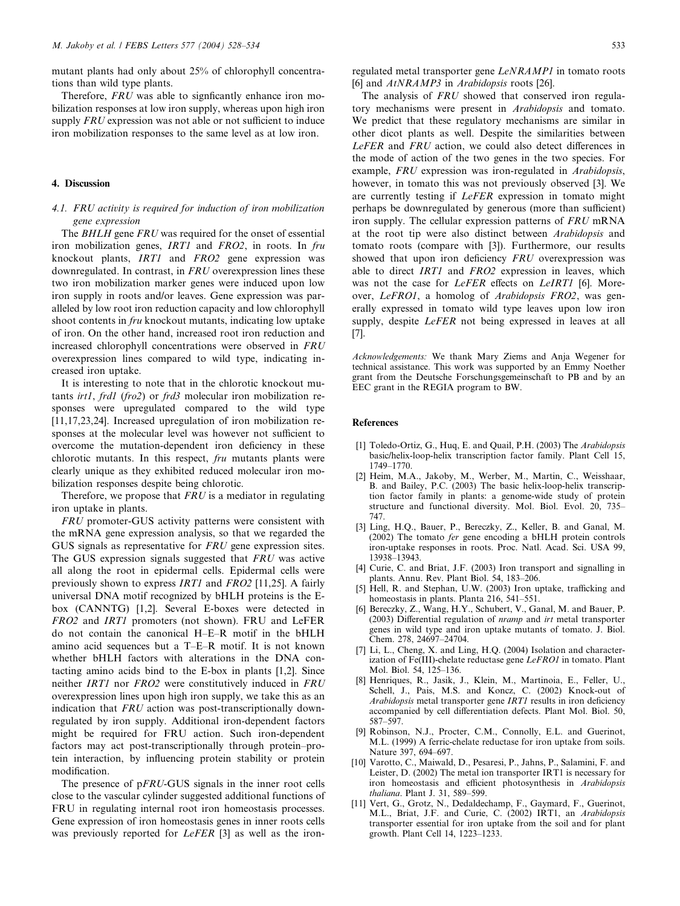mutant plants had only about 25% of chlorophyll concentrations than wild type plants.

Therefore, FRU was able to signficantly enhance iron mobilization responses at low iron supply, whereas upon high iron supply FRU expression was not able or not sufficient to induce iron mobilization responses to the same level as at low iron.

#### 4. Discussion

# 4.1. FRU activity is required for induction of iron mobilization gene expression

The BHLH gene FRU was required for the onset of essential iron mobilization genes, IRT1 and FRO2, in roots. In fru knockout plants, IRT1 and FRO2 gene expression was downregulated. In contrast, in FRU overexpression lines these two iron mobilization marker genes were induced upon low iron supply in roots and/or leaves. Gene expression was paralleled by low root iron reduction capacity and low chlorophyll shoot contents in fru knockout mutants, indicating low uptake of iron. On the other hand, increased root iron reduction and increased chlorophyll concentrations were observed in FRU overexpression lines compared to wild type, indicating increased iron uptake.

It is interesting to note that in the chlorotic knockout mutants *irt1*, frd1 (fro2) or frd3 molecular iron mobilization responses were upregulated compared to the wild type [11,17,23,24]. Increased upregulation of iron mobilization responses at the molecular level was however not sufficient to overcome the mutation-dependent iron deficiency in these chlorotic mutants. In this respect, fru mutants plants were clearly unique as they exhibited reduced molecular iron mobilization responses despite being chlorotic.

Therefore, we propose that FRU is a mediator in regulating iron uptake in plants.

FRU promoter-GUS activity patterns were consistent with the mRNA gene expression analysis, so that we regarded the GUS signals as representative for FRU gene expression sites. The GUS expression signals suggested that FRU was active all along the root in epidermal cells. Epidermal cells were previously shown to express IRT1 and FRO2 [11,25]. A fairly universal DNA motif recognized by bHLH proteins is the Ebox (CANNTG) [1,2]. Several E-boxes were detected in FRO2 and IRT1 promoters (not shown). FRU and LeFER do not contain the canonical H–E–R motif in the bHLH amino acid sequences but a T–E–R motif. It is not known whether bHLH factors with alterations in the DNA contacting amino acids bind to the E-box in plants [1,2]. Since neither IRT1 nor FRO2 were constitutively induced in FRU overexpression lines upon high iron supply, we take this as an indication that FRU action was post-transcriptionally downregulated by iron supply. Additional iron-dependent factors might be required for FRU action. Such iron-dependent factors may act post-transcriptionally through protein–protein interaction, by influencing protein stability or protein modification.

The presence of pFRU-GUS signals in the inner root cells close to the vascular cylinder suggested additional functions of FRU in regulating internal root iron homeostasis processes. Gene expression of iron homeostasis genes in inner roots cells was previously reported for LeFER [3] as well as the ironregulated metal transporter gene LeNRAMP1 in tomato roots [6] and *AtNRAMP3* in *Arabidopsis* roots [26].

The analysis of FRU showed that conserved iron regulatory mechanisms were present in Arabidopsis and tomato. We predict that these regulatory mechanisms are similar in other dicot plants as well. Despite the similarities between LeFER and FRU action, we could also detect differences in the mode of action of the two genes in the two species. For example, FRU expression was iron-regulated in Arabidopsis, however, in tomato this was not previously observed [3]. We are currently testing if LeFER expression in tomato might perhaps be downregulated by generous (more than sufficient) iron supply. The cellular expression patterns of FRU mRNA at the root tip were also distinct between Arabidopsis and tomato roots (compare with [3]). Furthermore, our results showed that upon iron deficiency FRU overexpression was able to direct IRT1 and FRO2 expression in leaves, which was not the case for LeFER effects on LeIRT1 [6]. Moreover, LeFRO1, a homolog of Arabidopsis FRO2, was generally expressed in tomato wild type leaves upon low iron supply, despite LeFER not being expressed in leaves at all [7].

Acknowledgements: We thank Mary Ziems and Anja Wegener for technical assistance. This work was supported by an Emmy Noether grant from the Deutsche Forschungsgemeinschaft to PB and by an EEC grant in the REGIA program to BW.

## References

- [1] Toledo-Ortiz, G., Huq, E. and Quail, P.H. (2003) The Arabidopsis basic/helix-loop-helix transcription factor family. Plant Cell 15, 1749–1770.
- [2] Heim, M.A., Jakoby, M., Werber, M., Martin, C., Weisshaar, B. and Bailey, P.C. (2003) The basic helix-loop-helix transcription factor family in plants: a genome-wide study of protein structure and functional diversity. Mol. Biol. Evol. 20, 735– 747.
- [3] Ling, H.Q., Bauer, P., Bereczky, Z., Keller, B. and Ganal, M. (2002) The tomato fer gene encoding a bHLH protein controls iron-uptake responses in roots. Proc. Natl. Acad. Sci. USA 99, 13938–13943.
- [4] Curie, C. and Briat, J.F. (2003) Iron transport and signalling in plants. Annu. Rev. Plant Biol. 54, 183–206.
- [5] Hell, R. and Stephan, U.W. (2003) Iron uptake, trafficking and homeostasis in plants. Planta 216, 541–551.
- [6] Bereczky, Z., Wang, H.Y., Schubert, V., Ganal, M. and Bauer, P. (2003) Differential regulation of nramp and irt metal transporter genes in wild type and iron uptake mutants of tomato. J. Biol. Chem. 278, 24697–24704.
- [7] Li, L., Cheng, X. and Ling, H.Q. (2004) Isolation and characterization of Fe(III)-chelate reductase gene LeFRO1 in tomato. Plant Mol. Biol. 54, 125–136.
- [8] Henriques, R., Jasik, J., Klein, M., Martinoia, E., Feller, U., Schell, J., Pais, M.S. and Koncz, C. (2002) Knock-out of Arabidopsis metal transporter gene IRT1 results in iron deficiency accompanied by cell differentiation defects. Plant Mol. Biol. 50, 587–597.
- [9] Robinson, N.J., Procter, C.M., Connolly, E.L. and Guerinot, M.L. (1999) A ferric-chelate reductase for iron uptake from soils. Nature 397, 694–697.
- [10] Varotto, C., Maiwald, D., Pesaresi, P., Jahns, P., Salamini, F. and Leister, D. (2002) The metal ion transporter IRT1 is necessary for iron homeostasis and efficient photosynthesis in Arabidopsis thaliana. Plant J. 31, 589–599.
- [11] Vert, G., Grotz, N., Dedaldechamp, F., Gaymard, F., Guerinot, M.L., Briat, J.F. and Curie, C. (2002) IRT1, an Arabidopsis transporter essential for iron uptake from the soil and for plant growth. Plant Cell 14, 1223–1233.